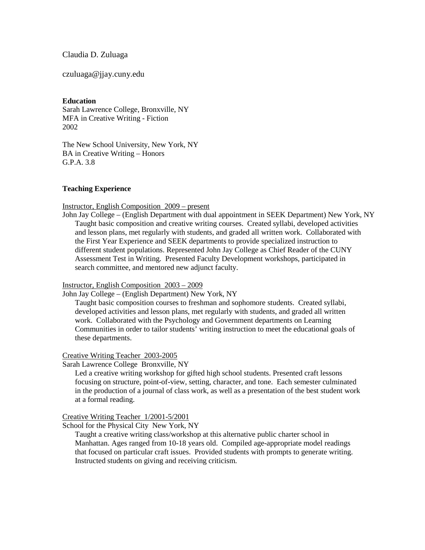Claudia D. Zuluaga

czuluaga@jjay.cuny.edu

**Education**

Sarah Lawrence College, Bronxville, NY MFA in Creative Writing - Fiction 2002

The New School University, New York, NY BA in Creative Writing – Honors  $GPA$  3.8

## **Teaching Experience**

Instructor, English Composition 2009 – present

John Jay College – (English Department with dual appointment in SEEK Department) New York, NY Taught basic composition and creative writing courses. Created syllabi, developed activities and lesson plans, met regularly with students, and graded all written work. Collaborated with the First Year Experience and SEEK departments to provide specialized instruction to different student populations. Represented John Jay College as Chief Reader of the CUNY Assessment Test in Writing. Presented Faculty Development workshops, participated in search committee, and mentored new adjunct faculty.

## Instructor, English Composition 2003 – 2009

John Jay College – (English Department) New York, NY

Taught basic composition courses to freshman and sophomore students. Created syllabi, developed activities and lesson plans, met regularly with students, and graded all written work. Collaborated with the Psychology and Government departments on Learning Communities in order to tailor students' writing instruction to meet the educational goals of these departments.

## Creative Writing Teacher 2003-2005

Sarah Lawrence College Bronxville, NY

Led a creative writing workshop for gifted high school students. Presented craft lessons focusing on structure, point-of-view, setting, character, and tone. Each semester culminated in the production of a journal of class work, as well as a presentation of the best student work at a formal reading.

Creative Writing Teacher 1/2001-5/2001

School for the Physical City New York, NY

Taught a creative writing class/workshop at this alternative public charter school in Manhattan. Ages ranged from 10-18 years old. Compiled age-appropriate model readings that focused on particular craft issues. Provided students with prompts to generate writing. Instructed students on giving and receiving criticism.